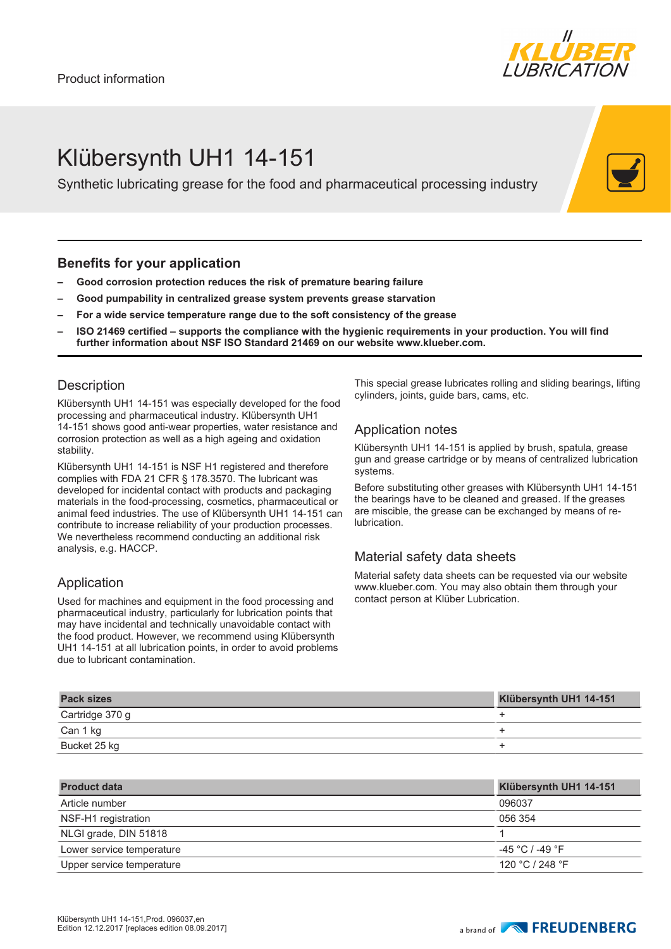

# Klübersynth UH1 14-151

Synthetic lubricating grease for the food and pharmaceutical processing industry

#### **Benefits for your application**

- **– Good corrosion protection reduces the risk of premature bearing failure**
- **– Good pumpability in centralized grease system prevents grease starvation**
- **– For a wide service temperature range due to the soft consistency of the grease**
- **– ISO 21469 certified supports the compliance with the hygienic requirements in your production. You will find further information about NSF ISO Standard 21469 on our website www.klueber.com.**

#### **Description**

Klübersynth UH1 14-151 was especially developed for the food processing and pharmaceutical industry. Klübersynth UH1 14-151 shows good anti-wear properties, water resistance and corrosion protection as well as a high ageing and oxidation stability.

Klübersynth UH1 14-151 is NSF H1 registered and therefore complies with FDA 21 CFR § 178.3570. The lubricant was developed for incidental contact with products and packaging materials in the food-processing, cosmetics, pharmaceutical or animal feed industries. The use of Klübersynth UH1 14-151 can contribute to increase reliability of your production processes. We nevertheless recommend conducting an additional risk analysis, e.g. HACCP.

### Application

Used for machines and equipment in the food processing and pharmaceutical industry, particularly for lubrication points that may have incidental and technically unavoidable contact with the food product. However, we recommend using Klübersynth UH1 14-151 at all lubrication points, in order to avoid problems due to lubricant contamination.

This special grease lubricates rolling and sliding bearings, lifting cylinders, joints, guide bars, cams, etc.

### Application notes

Klübersynth UH1 14-151 is applied by brush, spatula, grease gun and grease cartridge or by means of centralized lubrication systems.

Before substituting other greases with Klübersynth UH1 14-151 the bearings have to be cleaned and greased. If the greases are miscible, the grease can be exchanged by means of relubrication.

## Material safety data sheets

Material safety data sheets can be requested via our website www.klueber.com. You may also obtain them through your contact person at Klüber Lubrication.

| <b>Pack sizes</b> | Klübersynth UH1 14-151 |
|-------------------|------------------------|
| Cartridge 370 g   |                        |
| Can 1 kg          |                        |
| Bucket 25 kg      |                        |

| <b>Product data</b>       | Klübersynth UH1 14-151 |
|---------------------------|------------------------|
| Article number            | 096037                 |
| NSF-H1 registration       | 056 354                |
| NLGI grade, DIN 51818     |                        |
| Lower service temperature | $-45 °C$ / -49 $°F$    |
| Upper service temperature | 120 °C / 248 °F        |